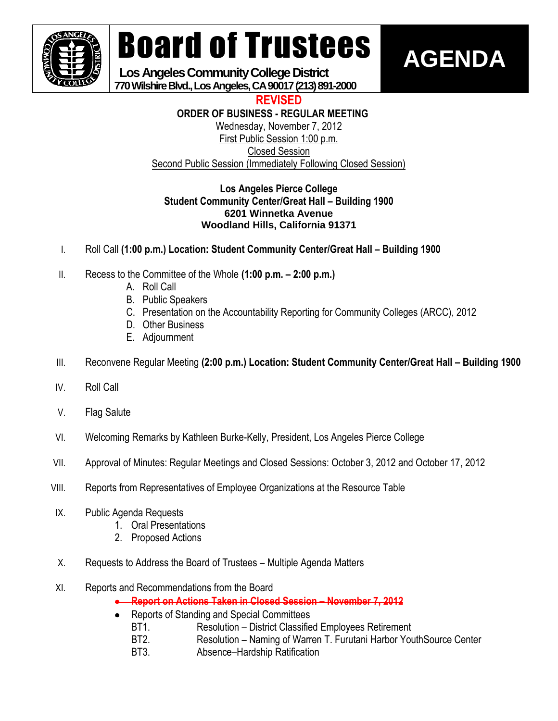

# Board of Trustees

**AGENDA**

 **Los Angeles Community College District 770 Wilshire Blvd., Los Angeles, CA 90017 (213) 891-2000**

**REVISED**

**ORDER OF BUSINESS - REGULAR MEETING**

Wednesday, November 7, 2012 First Public Session 1:00 p.m. Closed Session Second Public Session (Immediately Following Closed Session)

# **Los Angeles Pierce College Student Community Center/Great Hall – Building 1900 6201 Winnetka Avenue Woodland Hills, California 91371**

- I. Roll Call **(1:00 p.m.) Location: Student Community Center/Great Hall – Building 1900**
- II. Recess to the Committee of the Whole **(1:00 p.m. – 2:00 p.m.)**
	- A. Roll Call
	- B. Public Speakers
	- C. Presentation on the Accountability Reporting for Community Colleges (ARCC), 2012
	- D. Other Business
	- E. Adjournment
- III. Reconvene Regular Meeting **(2:00 p.m.) Location: Student Community Center/Great Hall – Building 1900**
- IV. Roll Call
- V. Flag Salute
- VI. Welcoming Remarks by Kathleen Burke-Kelly, President, Los Angeles Pierce College
- VII. Approval of Minutes: Regular Meetings and Closed Sessions: October 3, 2012 and October 17, 2012
- VIII. Reports from Representatives of Employee Organizations at the Resource Table
- IX. Public Agenda Requests
	- 1. Oral Presentations
	- 2. Proposed Actions
- X. Requests to Address the Board of Trustees Multiple Agenda Matters
- XI. Reports and Recommendations from the Board
	- **Report on Actions Taken in Closed Session – November 7, 2012**
	- $\bullet$ Reports of Standing and Special Committees
		- BT1. Resolution District Classified Employees Retirement
		- BT2. Resolution Naming of Warren T. Furutani Harbor YouthSource Center
		- BT3. Absence–Hardship Ratification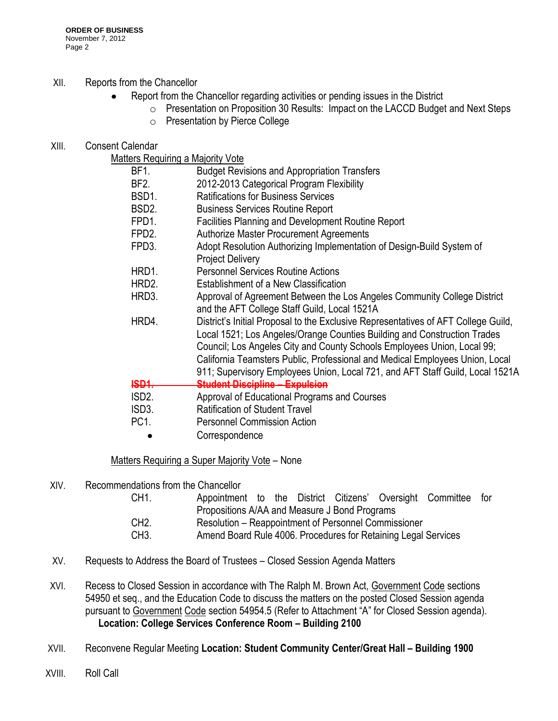# XII. Reports from the Chancellor

- Report from the Chancellor regarding activities or pending issues in the District  $\bullet$ 
	- o Presentation on Proposition 30 Results: Impact on the LACCD Budget and Next Steps
		- o Presentation by Pierce College

# XIII. Consent Calendar

Matters Requiring a Majority Vote

|                    | $m$ ano koganing a majonty volo                                                                                                                                                                                                                                                                                                                                                                            |
|--------------------|------------------------------------------------------------------------------------------------------------------------------------------------------------------------------------------------------------------------------------------------------------------------------------------------------------------------------------------------------------------------------------------------------------|
| BF1.               | <b>Budget Revisions and Appropriation Transfers</b>                                                                                                                                                                                                                                                                                                                                                        |
| BF2.               | 2012-2013 Categorical Program Flexibility                                                                                                                                                                                                                                                                                                                                                                  |
| BSD1.              | <b>Ratifications for Business Services</b>                                                                                                                                                                                                                                                                                                                                                                 |
| BSD <sub>2</sub> . | <b>Business Services Routine Report</b>                                                                                                                                                                                                                                                                                                                                                                    |
| FPD1.              | Facilities Planning and Development Routine Report                                                                                                                                                                                                                                                                                                                                                         |
| FPD <sub>2</sub> . | <b>Authorize Master Procurement Agreements</b>                                                                                                                                                                                                                                                                                                                                                             |
| FPD3.              | Adopt Resolution Authorizing Implementation of Design-Build System of<br><b>Project Delivery</b>                                                                                                                                                                                                                                                                                                           |
| HRD1.              | <b>Personnel Services Routine Actions</b>                                                                                                                                                                                                                                                                                                                                                                  |
| HRD2.              | Establishment of a New Classification                                                                                                                                                                                                                                                                                                                                                                      |
| HRD3.              | Approval of Agreement Between the Los Angeles Community College District<br>and the AFT College Staff Guild, Local 1521A                                                                                                                                                                                                                                                                                   |
| HRD4.              | District's Initial Proposal to the Exclusive Representatives of AFT College Guild,<br>Local 1521; Los Angeles/Orange Counties Building and Construction Trades<br>Council; Los Angeles City and County Schools Employees Union, Local 99;<br>California Teamsters Public, Professional and Medical Employees Union, Local<br>911; Supervisory Employees Union, Local 721, and AFT Staff Guild, Local 1521A |
| <b>ISD1.</b>       | <b>Student Discipline - Expulsion</b>                                                                                                                                                                                                                                                                                                                                                                      |
| ISD <sub>2</sub> . | Approval of Educational Programs and Courses                                                                                                                                                                                                                                                                                                                                                               |
| ISD3.              | <b>Ratification of Student Travel</b>                                                                                                                                                                                                                                                                                                                                                                      |
| PC <sub>1</sub>    | <b>Personnel Commission Action</b>                                                                                                                                                                                                                                                                                                                                                                         |
|                    |                                                                                                                                                                                                                                                                                                                                                                                                            |

**Correspondence**  $\bullet$ 

# Matters Requiring a Super Majority Vote - None

XIV. Recommendations from the Chancellor

| CH1.            | Appointment to the District Citizens' Oversight Committee for  |  |  |
|-----------------|----------------------------------------------------------------|--|--|
|                 | Propositions A/AA and Measure J Bond Programs                  |  |  |
| CH <sub>2</sub> | Resolution – Reappointment of Personnel Commissioner           |  |  |
| CH3.            | Amend Board Rule 4006. Procedures for Retaining Legal Services |  |  |

- XV. Requests to Address the Board of Trustees Closed Session Agenda Matters
- XVI. Recess to Closed Session in accordance with The Ralph M. Brown Act, Government Code sections 54950 et seq., and the Education Code to discuss the matters on the posted Closed Session agenda pursuant to Government Code section 54954.5 (Refer to Attachment "A" for Closed Session agenda). **Location: College Services Conference Room – Building 2100**
- XVII. Reconvene Regular Meeting **Location: Student Community Center/Great Hall – Building 1900**
- XVIII. Roll Call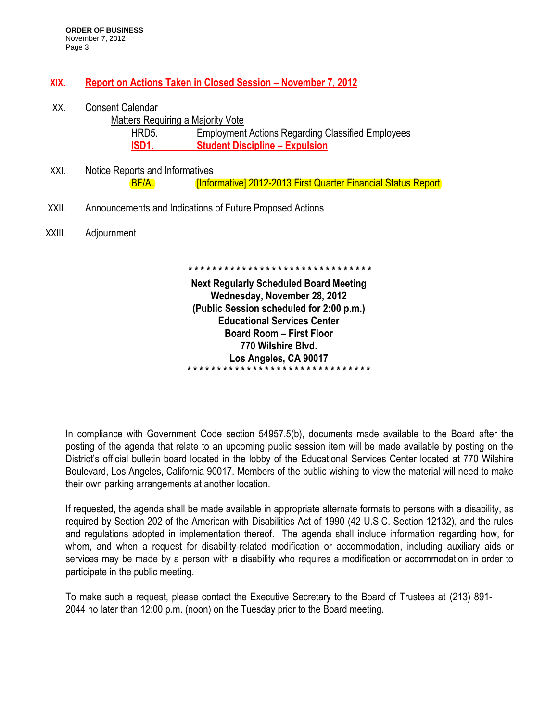# **XIX. Report on Actions Taken in Closed Session – November 7, 2012**

XX. Consent Calendar Matters Requiring a Majority Vote HRD5. Employment Actions Regarding Classified Employees **ISD1. Student Discipline – Expulsion**  XXI. Notice Reports and Informatives BF/A. *Informative] 2012-2013 First Quarter Financial Status Report* XXII. Announcements and Indications of Future Proposed Actions XXIII. Adjournment **\* \* \* \* \* \* \* \* \* \* \* \* \* \* \* \* \* \* \* \* \* \* \* \* \* \* \* \* \* \* \* Next Regularly Scheduled Board Meeting Wednesday, November 28, 2012 (Public Session scheduled for 2:00 p.m.) Educational Services Center Board Room – First Floor 770 Wilshire Blvd.**

In compliance with Government Code section 54957.5(b), documents made available to the Board after the posting of the agenda that relate to an upcoming public session item will be made available by posting on the District's official bulletin board located in the lobby of the Educational Services Center located at 770 Wilshire Boulevard, Los Angeles, California 90017. Members of the public wishing to view the material will need to make their own parking arrangements at another location.

**Los Angeles, CA 90017 \* \* \* \* \* \* \* \* \* \* \* \* \* \* \* \* \* \* \* \* \* \* \* \* \* \* \* \* \* \* \***

If requested, the agenda shall be made available in appropriate alternate formats to persons with a disability, as required by Section 202 of the American with Disabilities Act of 1990 (42 U.S.C. Section 12132), and the rules and regulations adopted in implementation thereof. The agenda shall include information regarding how, for whom, and when a request for disability-related modification or accommodation, including auxiliary aids or services may be made by a person with a disability who requires a modification or accommodation in order to participate in the public meeting.

To make such a request, please contact the Executive Secretary to the Board of Trustees at (213) 891- 2044 no later than 12:00 p.m. (noon) on the Tuesday prior to the Board meeting.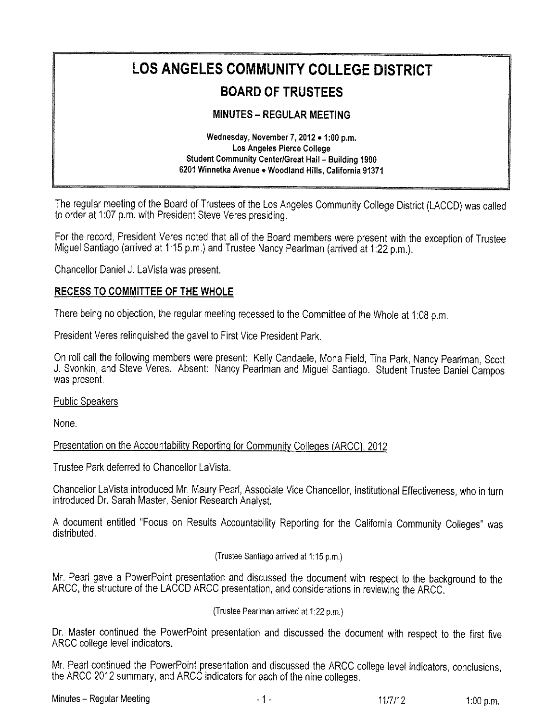# LOS ANGELES COMMUNITY COLLEGE DISTRICT

# **BOARD OF TRUSTEES**

# **MINUTES - REGULAR MEETING**

Wednesday, November 7, 2012 . 1:00 p.m. Los Angeles Pierce College Student Community Center/Great Hall - Building 1900 6201 Winnetka Avenue . Woodland Hills, California 91371

The regular meeting of the Board of Trustees of the Los Angeles Community College District (LACCD) was called to order at 1:07 p.m. with President Steve Veres presiding.

For the record, President Veres noted that all of the Board members were present with the exception of Trustee Miquel Santiago (arrived at 1:15 p.m.) and Trustee Nancy Pearlman (arrived at 1:22 p.m.).

Chancellor Daniel J. LaVista was present.

## RECESS TO COMMITTEE OF THE WHOLE

There being no objection, the regular meeting recessed to the Committee of the Whole at 1:08 p.m.

President Veres relinguished the gavel to First Vice President Park.

On roll call the following members were present: Kelly Candaele, Mona Field, Tina Park, Nancy Pearlman, Scott J. Svonkin, and Steve Veres. Absent: Nancy Pearlman and Miguel Santiago. Student Trustee Daniel Campos was present.

**Public Speakers** 

None.

Presentation on the Accountability Reporting for Community Colleges (ARCC), 2012

Trustee Park deferred to Chancellor LaVista.

Chancellor LaVista introduced Mr. Maury Pearl, Associate Vice Chancellor, Institutional Effectiveness, who in turn introduced Dr. Sarah Master, Senior Research Analyst.

A document entitled "Focus on Results Accountability Reporting for the California Community Colleges" was distributed.

(Trustee Santiago arrived at 1:15 p.m.)

Mr. Pearl gave a PowerPoint presentation and discussed the document with respect to the background to the ARCC, the structure of the LACCD ARCC presentation, and considerations in reviewing the ARCC.

(Trustee Pearlman arrived at 1:22 p.m.)

Dr. Master continued the PowerPoint presentation and discussed the document with respect to the first five ARCC college level indicators.

Mr. Pearl continued the PowerPoint presentation and discussed the ARCC college level indicators, conclusions, the ARCC 2012 summary, and ARCC indicators for each of the nine colleges.